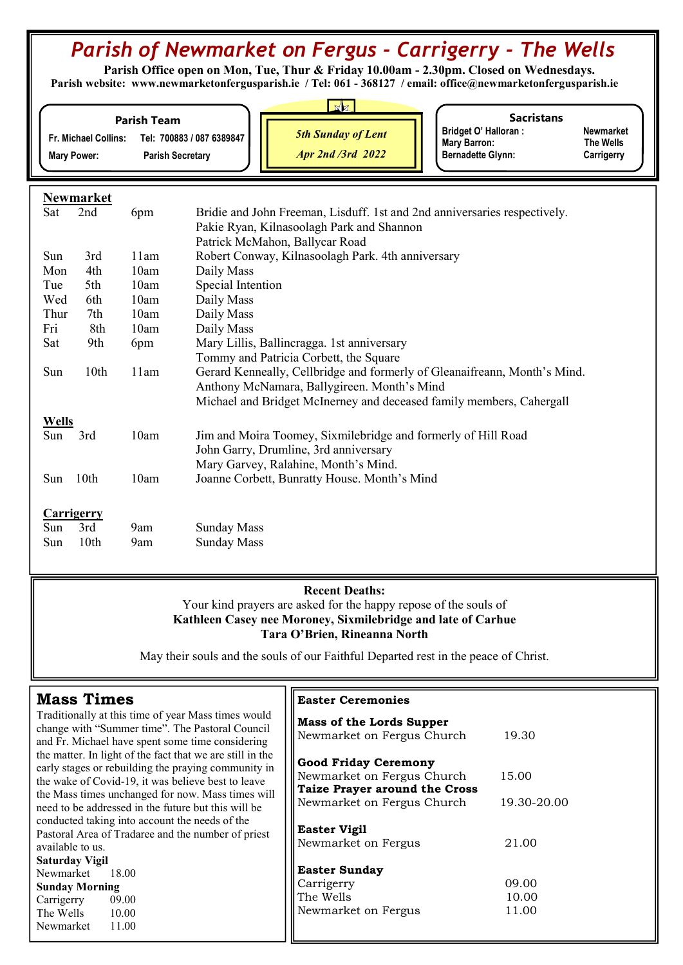## Parish of Newmarket on Fergus - Carrigerry - The Wells

 Parish Office open on Mon, Tue, Thur & Friday 10.00am - 2.30pm. Closed on Wednesdays. Parish website: www.newmarketonfergusparish.ie / Tel: 061 - 368127 / email: office@newmarketonfergusparish.ie

|                                            | <b>Parish Team</b>                                   |                                                       | <b>Sacristans</b>                                                              |                                             |
|--------------------------------------------|------------------------------------------------------|-------------------------------------------------------|--------------------------------------------------------------------------------|---------------------------------------------|
| Fr. Michael Collins:<br><b>Mary Power:</b> | Tel: 700883 / 087 6389847<br><b>Parish Secretary</b> | <b>5th Sunday of Lent</b><br><b>Apr 2nd /3rd 2022</b> | <b>Bridget O' Halloran:</b><br><b>Mary Barron:</b><br><b>Bernadette Glynn:</b> | <b>Newmarket</b><br>The Wells<br>Carrigerry |

|              | Newmarket  |      |                                                                           |
|--------------|------------|------|---------------------------------------------------------------------------|
| Sat          | 2nd        | 6pm  | Bridie and John Freeman, Lisduff. 1st and 2nd anniversaries respectively. |
|              |            |      | Pakie Ryan, Kilnasoolagh Park and Shannon                                 |
|              |            |      | Patrick McMahon, Ballycar Road                                            |
| Sun          | 3rd        | 11am | Robert Conway, Kilnasoolagh Park. 4th anniversary                         |
| Mon          | 4th        | 10am | Daily Mass                                                                |
| Tue          | 5th        | 10am | Special Intention                                                         |
| Wed          | 6th        | 10am | Daily Mass                                                                |
| Thur         | 7th        | 10am | Daily Mass                                                                |
| Fri          | 8th        | 10am | Daily Mass                                                                |
| Sat          | 9th        | 6pm  | Mary Lillis, Ballincragga. 1st anniversary                                |
|              |            |      | Tommy and Patricia Corbett, the Square                                    |
| Sun          | 10th       | 11am | Gerard Kenneally, Cellbridge and formerly of Gleanaifreann, Month's Mind. |
|              |            |      | Anthony McNamara, Ballygireen. Month's Mind                               |
|              |            |      | Michael and Bridget McInerney and deceased family members, Cahergall      |
| <b>Wells</b> |            |      |                                                                           |
| Sun          | 3rd        | 10am | Jim and Moira Toomey, Sixmilebridge and formerly of Hill Road             |
|              |            |      | John Garry, Drumline, 3rd anniversary                                     |
|              |            |      | Mary Garvey, Ralahine, Month's Mind.                                      |
| Sun          | 10th       | 10am | Joanne Corbett, Bunratty House. Month's Mind                              |
|              |            |      |                                                                           |
|              | Carrigerry |      |                                                                           |
| Sun          | 3rd        | 9am  | <b>Sunday Mass</b>                                                        |

Sun 10th 9am Sunday Mass

## Recent Deaths: Your kind prayers are asked for the happy repose of the souls of Kathleen Casey nee Moroney, Sixmilebridge and late of Carhue Tara O'Brien, Rineanna North

May their souls and the souls of our Faithful Departed rest in the peace of Christ.

| <b>Mass Times</b>                                                                                         | <b>Easter Ceremonies</b>             |             |  |  |  |
|-----------------------------------------------------------------------------------------------------------|--------------------------------------|-------------|--|--|--|
| Traditionally at this time of year Mass times would<br>change with "Summer time". The Pastoral Council    | <b>Mass of the Lords Supper</b>      |             |  |  |  |
| and Fr. Michael have spent some time considering                                                          | Newmarket on Fergus Church           | 19.30       |  |  |  |
| the matter. In light of the fact that we are still in the                                                 | <b>Good Friday Ceremony</b>          |             |  |  |  |
| early stages or rebuilding the praying community in<br>the wake of Covid-19, it was believe best to leave | Newmarket on Fergus Church           | 15.00       |  |  |  |
| the Mass times unchanged for now. Mass times will                                                         | <b>Taize Prayer around the Cross</b> |             |  |  |  |
| need to be addressed in the future but this will be                                                       | Newmarket on Fergus Church           | 19.30-20.00 |  |  |  |
| conducted taking into account the needs of the                                                            |                                      |             |  |  |  |
| Pastoral Area of Tradaree and the number of priest                                                        | <b>Easter Vigil</b>                  |             |  |  |  |
| available to us.                                                                                          | Newmarket on Fergus                  | 21.00       |  |  |  |
| <b>Saturday Vigil</b>                                                                                     |                                      |             |  |  |  |
| Newmarket<br>18.00                                                                                        | <b>Easter Sunday</b>                 |             |  |  |  |
| <b>Sunday Morning</b>                                                                                     | Carrigerry                           | 09.00       |  |  |  |
| 09.00<br>Carrigerry                                                                                       | The Wells                            | 10.00       |  |  |  |
| The Wells 10.00                                                                                           | Newmarket on Fergus                  | 11.00       |  |  |  |
| Newmarket<br>11.00                                                                                        |                                      |             |  |  |  |

- 11